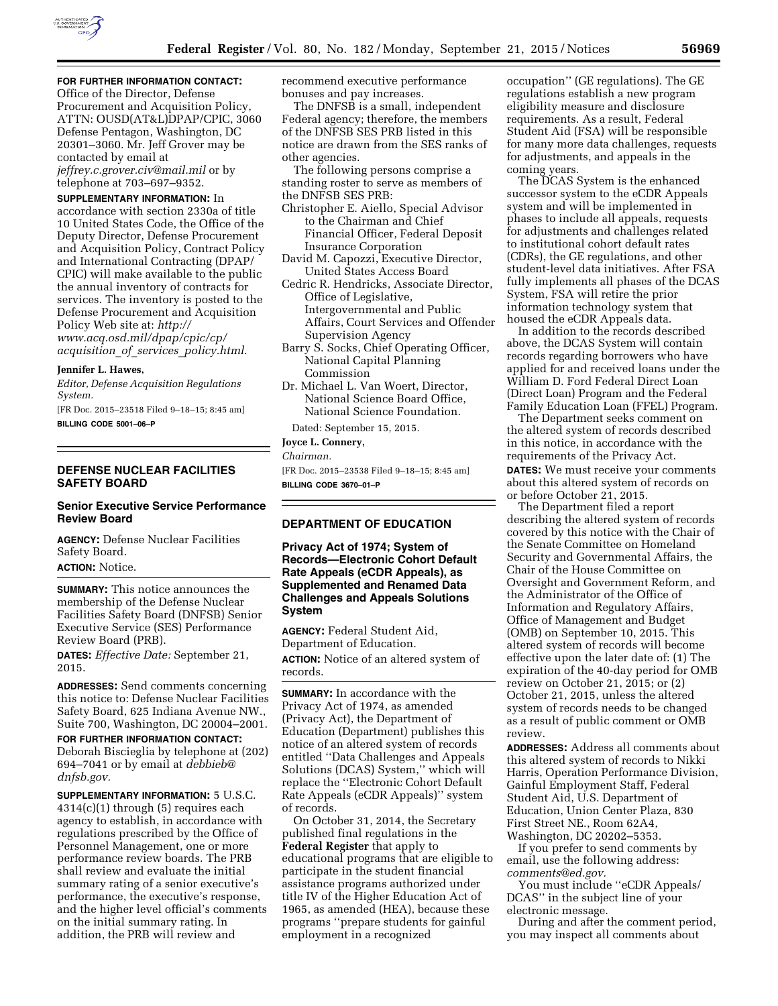

# **FOR FURTHER INFORMATION CONTACT:**

Office of the Director, Defense Procurement and Acquisition Policy, ATTN: OUSD(AT&L)DPAP/CPIC, 3060 Defense Pentagon, Washington, DC 20301–3060. Mr. Jeff Grover may be contacted by email at *[jeffrey.c.grover.civ@mail.mil](mailto:jeffrey.c.grover.civ@mail.mil)* or by telephone at 703–697–9352.

**SUPPLEMENTARY INFORMATION:** In accordance with section 2330a of title 10 United States Code, the Office of the Deputy Director, Defense Procurement and Acquisition Policy, Contract Policy and International Contracting (DPAP/ CPIC) will make available to the public the annual inventory of contracts for services. The inventory is posted to the Defense Procurement and Acquisition Policy Web site at: *[http://](http://www.acq.osd.mil/dpap/cpic/cp/acquisition_of_services_policy.html) [www.acq.osd.mil/dpap/cpic/cp/](http://www.acq.osd.mil/dpap/cpic/cp/acquisition_of_services_policy.html) acquisition*\_*of*\_*services*\_*[policy.html](http://www.acq.osd.mil/dpap/cpic/cp/acquisition_of_services_policy.html)*.

#### **Jennifer L. Hawes,**

*Editor, Defense Acquisition Regulations System.* 

[FR Doc. 2015–23518 Filed 9–18–15; 8:45 am] **BILLING CODE 5001–06–P** 

# **DEFENSE NUCLEAR FACILITIES SAFETY BOARD**

## **Senior Executive Service Performance Review Board**

**AGENCY:** Defense Nuclear Facilities Safety Board. **ACTION:** Notice.

**SUMMARY:** This notice announces the membership of the Defense Nuclear Facilities Safety Board (DNFSB) Senior Executive Service (SES) Performance Review Board (PRB).

**DATES:** *Effective Date:* September 21, 2015.

**ADDRESSES:** Send comments concerning this notice to: Defense Nuclear Facilities Safety Board, 625 Indiana Avenue NW., Suite 700, Washington, DC 20004–2001.

**FOR FURTHER INFORMATION CONTACT:**  Deborah Biscieglia by telephone at (202) 694–7041 or by email at *[debbieb@](mailto:debbieb@dnfsb.gov) [dnfsb.gov.](mailto:debbieb@dnfsb.gov)* 

**SUPPLEMENTARY INFORMATION:** 5 U.S.C. 4314(c)(1) through (5) requires each agency to establish, in accordance with regulations prescribed by the Office of Personnel Management, one or more performance review boards. The PRB shall review and evaluate the initial summary rating of a senior executive's performance, the executive's response, and the higher level official's comments on the initial summary rating. In addition, the PRB will review and

recommend executive performance bonuses and pay increases.

The DNFSB is a small, independent Federal agency; therefore, the members of the DNFSB SES PRB listed in this notice are drawn from the SES ranks of other agencies.

The following persons comprise a standing roster to serve as members of the DNFSB SES PRB:

- Christopher E. Aiello, Special Advisor to the Chairman and Chief Financial Officer, Federal Deposit Insurance Corporation
- David M. Capozzi, Executive Director, United States Access Board
- Cedric R. Hendricks, Associate Director, Office of Legislative, Intergovernmental and Public Affairs, Court Services and Offender Supervision Agency
- Barry S. Socks, Chief Operating Officer, National Capital Planning Commission
- Dr. Michael L. Van Woert, Director, National Science Board Office, National Science Foundation.

Dated: September 15, 2015.

## **Joyce L. Connery,**

*Chairman.* 

[FR Doc. 2015–23538 Filed 9–18–15; 8:45 am] **BILLING CODE 3670–01–P** 

# **DEPARTMENT OF EDUCATION**

**Privacy Act of 1974; System of Records—Electronic Cohort Default Rate Appeals (eCDR Appeals), as Supplemented and Renamed Data Challenges and Appeals Solutions System** 

**AGENCY:** Federal Student Aid, Department of Education. **ACTION:** Notice of an altered system of records.

**SUMMARY:** In accordance with the Privacy Act of 1974, as amended (Privacy Act), the Department of Education (Department) publishes this notice of an altered system of records entitled ''Data Challenges and Appeals Solutions (DCAS) System,'' which will replace the ''Electronic Cohort Default Rate Appeals (eCDR Appeals)'' system of records.

On October 31, 2014, the Secretary published final regulations in the **Federal Register** that apply to educational programs that are eligible to participate in the student financial assistance programs authorized under title IV of the Higher Education Act of 1965, as amended (HEA), because these programs ''prepare students for gainful employment in a recognized

occupation'' (GE regulations). The GE regulations establish a new program eligibility measure and disclosure requirements. As a result, Federal Student Aid (FSA) will be responsible for many more data challenges, requests for adjustments, and appeals in the coming years.

The DCAS System is the enhanced successor system to the eCDR Appeals system and will be implemented in phases to include all appeals, requests for adjustments and challenges related to institutional cohort default rates (CDRs), the GE regulations, and other student-level data initiatives. After FSA fully implements all phases of the DCAS System, FSA will retire the prior information technology system that housed the eCDR Appeals data.

In addition to the records described above, the DCAS System will contain records regarding borrowers who have applied for and received loans under the William D. Ford Federal Direct Loan (Direct Loan) Program and the Federal Family Education Loan (FFEL) Program.

The Department seeks comment on the altered system of records described in this notice, in accordance with the requirements of the Privacy Act. **DATES:** We must receive your comments about this altered system of records on or before October 21, 2015.

The Department filed a report describing the altered system of records covered by this notice with the Chair of the Senate Committee on Homeland Security and Governmental Affairs, the Chair of the House Committee on Oversight and Government Reform, and the Administrator of the Office of Information and Regulatory Affairs, Office of Management and Budget (OMB) on September 10, 2015. This altered system of records will become effective upon the later date of: (1) The expiration of the 40-day period for OMB review on October 21, 2015; or (2) October 21, 2015, unless the altered system of records needs to be changed as a result of public comment or OMB review.

**ADDRESSES:** Address all comments about this altered system of records to Nikki Harris, Operation Performance Division, Gainful Employment Staff, Federal Student Aid, U.S. Department of Education, Union Center Plaza, 830 First Street NE., Room 62A4, Washington, DC 20202–5353.

If you prefer to send comments by email, use the following address: *[comments@ed.gov.](mailto:comments@ed.gov)* 

You must include ''eCDR Appeals/ DCAS'' in the subject line of your electronic message.

During and after the comment period, you may inspect all comments about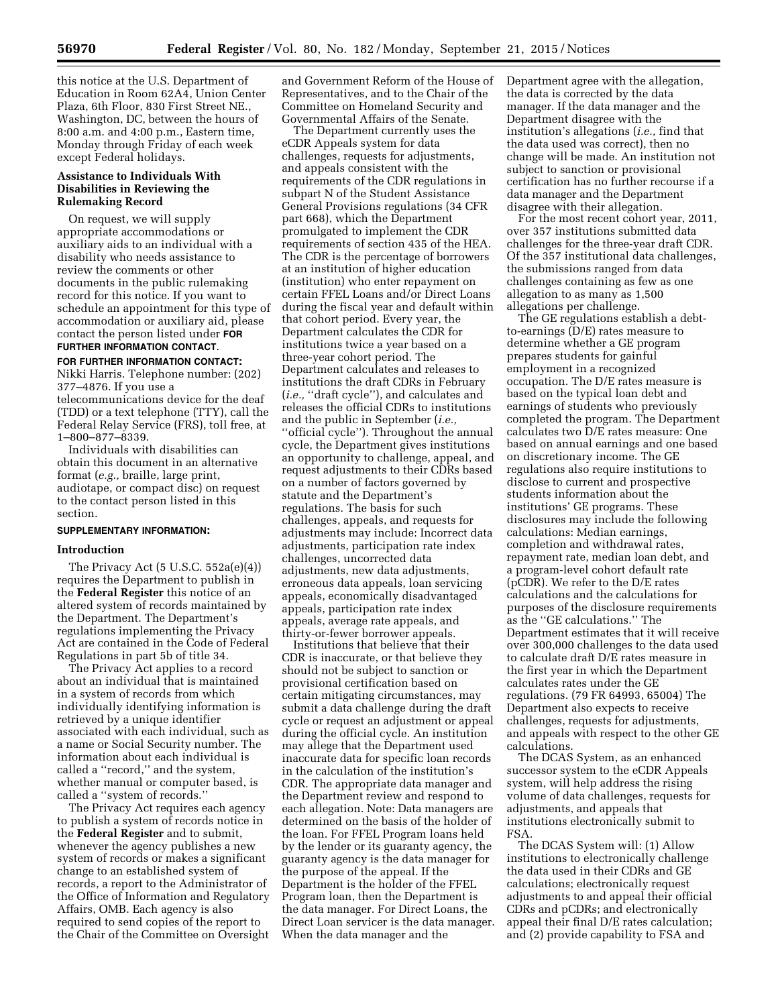this notice at the U.S. Department of Education in Room 62A4, Union Center Plaza, 6th Floor, 830 First Street NE., Washington, DC, between the hours of 8:00 a.m. and 4:00 p.m., Eastern time, Monday through Friday of each week except Federal holidays.

## **Assistance to Individuals With Disabilities in Reviewing the Rulemaking Record**

On request, we will supply appropriate accommodations or auxiliary aids to an individual with a disability who needs assistance to review the comments or other documents in the public rulemaking record for this notice. If you want to schedule an appointment for this type of accommodation or auxiliary aid, please contact the person listed under **FOR FURTHER INFORMATION CONTACT**.

# **FOR FURTHER INFORMATION CONTACT:**

Nikki Harris. Telephone number: (202) 377–4876. If you use a

telecommunications device for the deaf (TDD) or a text telephone (TTY), call the Federal Relay Service (FRS), toll free, at 1–800–877–8339.

Individuals with disabilities can obtain this document in an alternative format (*e.g.,* braille, large print, audiotape, or compact disc) on request to the contact person listed in this section.

## **SUPPLEMENTARY INFORMATION:**

## **Introduction**

The Privacy Act (5 U.S.C. 552a(e)(4)) requires the Department to publish in the **Federal Register** this notice of an altered system of records maintained by the Department. The Department's regulations implementing the Privacy Act are contained in the Code of Federal Regulations in part 5b of title 34.

The Privacy Act applies to a record about an individual that is maintained in a system of records from which individually identifying information is retrieved by a unique identifier associated with each individual, such as a name or Social Security number. The information about each individual is called a ''record,'' and the system, whether manual or computer based, is called a ''system of records.''

The Privacy Act requires each agency to publish a system of records notice in the **Federal Register** and to submit, whenever the agency publishes a new system of records or makes a significant change to an established system of records, a report to the Administrator of the Office of Information and Regulatory Affairs, OMB. Each agency is also required to send copies of the report to the Chair of the Committee on Oversight

and Government Reform of the House of Representatives, and to the Chair of the Committee on Homeland Security and Governmental Affairs of the Senate.

The Department currently uses the eCDR Appeals system for data challenges, requests for adjustments, and appeals consistent with the requirements of the CDR regulations in subpart N of the Student Assistance General Provisions regulations (34 CFR part 668), which the Department promulgated to implement the CDR requirements of section 435 of the HEA. The CDR is the percentage of borrowers at an institution of higher education (institution) who enter repayment on certain FFEL Loans and/or Direct Loans during the fiscal year and default within that cohort period. Every year, the Department calculates the CDR for institutions twice a year based on a three-year cohort period. The Department calculates and releases to institutions the draft CDRs in February (*i.e.,* ''draft cycle''), and calculates and releases the official CDRs to institutions and the public in September (*i.e.,*  ''official cycle''). Throughout the annual cycle, the Department gives institutions an opportunity to challenge, appeal, and request adjustments to their CDRs based on a number of factors governed by statute and the Department's regulations. The basis for such challenges, appeals, and requests for adjustments may include: Incorrect data adjustments, participation rate index challenges, uncorrected data adjustments, new data adjustments, erroneous data appeals, loan servicing appeals, economically disadvantaged appeals, participation rate index appeals, average rate appeals, and thirty-or-fewer borrower appeals.

Institutions that believe that their CDR is inaccurate, or that believe they should not be subject to sanction or provisional certification based on certain mitigating circumstances, may submit a data challenge during the draft cycle or request an adjustment or appeal during the official cycle. An institution may allege that the Department used inaccurate data for specific loan records in the calculation of the institution's CDR. The appropriate data manager and the Department review and respond to each allegation. Note: Data managers are determined on the basis of the holder of the loan. For FFEL Program loans held by the lender or its guaranty agency, the guaranty agency is the data manager for the purpose of the appeal. If the Department is the holder of the FFEL Program loan, then the Department is the data manager. For Direct Loans, the Direct Loan servicer is the data manager. When the data manager and the

Department agree with the allegation, the data is corrected by the data manager. If the data manager and the Department disagree with the institution's allegations (*i.e.,* find that the data used was correct), then no change will be made. An institution not subject to sanction or provisional certification has no further recourse if a data manager and the Department disagree with their allegation.

For the most recent cohort year, 2011, over 357 institutions submitted data challenges for the three-year draft CDR. Of the 357 institutional data challenges, the submissions ranged from data challenges containing as few as one allegation to as many as 1,500 allegations per challenge.

The GE regulations establish a debtto-earnings (D/E) rates measure to determine whether a GE program prepares students for gainful employment in a recognized occupation. The D/E rates measure is based on the typical loan debt and earnings of students who previously completed the program. The Department calculates two D/E rates measure: One based on annual earnings and one based on discretionary income. The GE regulations also require institutions to disclose to current and prospective students information about the institutions' GE programs. These disclosures may include the following calculations: Median earnings, completion and withdrawal rates, repayment rate, median loan debt, and a program-level cohort default rate (pCDR). We refer to the D/E rates calculations and the calculations for purposes of the disclosure requirements as the ''GE calculations.'' The Department estimates that it will receive over 300,000 challenges to the data used to calculate draft D/E rates measure in the first year in which the Department calculates rates under the GE regulations. (79 FR 64993, 65004) The Department also expects to receive challenges, requests for adjustments, and appeals with respect to the other GE calculations.

The DCAS System, as an enhanced successor system to the eCDR Appeals system, will help address the rising volume of data challenges, requests for adjustments, and appeals that institutions electronically submit to FSA.

The DCAS System will: (1) Allow institutions to electronically challenge the data used in their CDRs and GE calculations; electronically request adjustments to and appeal their official CDRs and pCDRs; and electronically appeal their final D/E rates calculation; and (2) provide capability to FSA and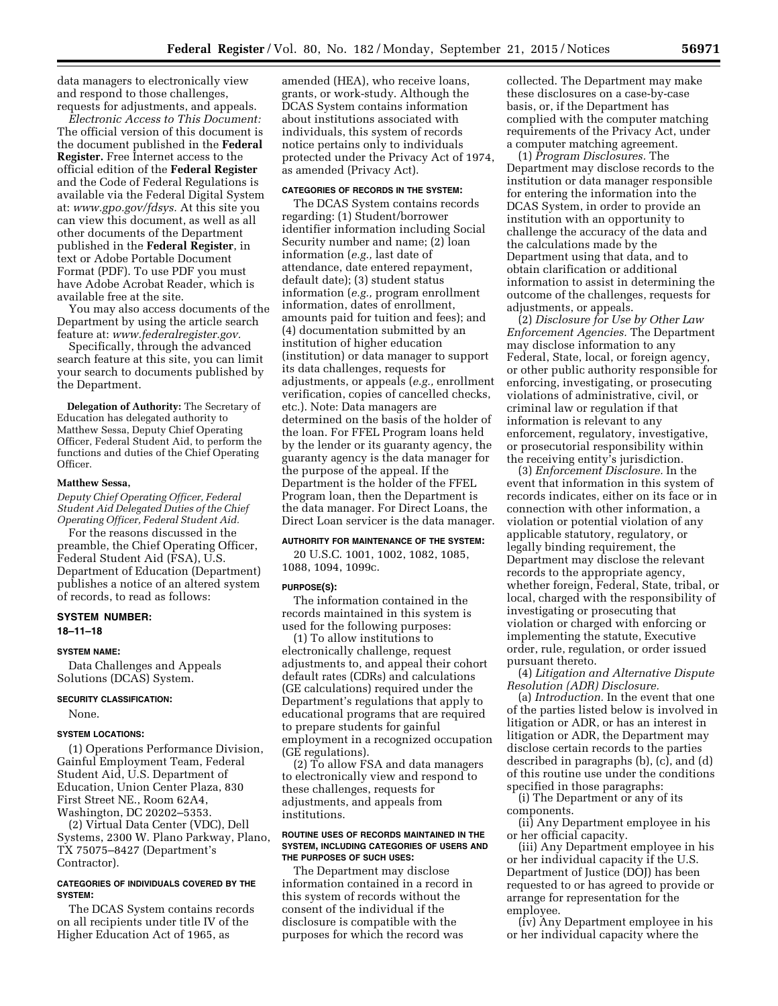data managers to electronically view and respond to those challenges, requests for adjustments, and appeals.

*Electronic Access to This Document:*  The official version of this document is the document published in the **Federal Register.** Free Internet access to the official edition of the **Federal Register**  and the Code of Federal Regulations is available via the Federal Digital System at: *[www.gpo.gov/fdsys.](http://www.gpo.gov/fdsys)* At this site you can view this document, as well as all other documents of the Department published in the **Federal Register**, in text or Adobe Portable Document Format (PDF). To use PDF you must have Adobe Acrobat Reader, which is available free at the site.

You may also access documents of the Department by using the article search feature at: *[www.federalregister.gov.](http://www.federalregister.gov)* 

Specifically, through the advanced search feature at this site, you can limit your search to documents published by the Department.

**Delegation of Authority:** The Secretary of Education has delegated authority to Matthew Sessa, Deputy Chief Operating Officer, Federal Student Aid, to perform the functions and duties of the Chief Operating Officer.

## **Matthew Sessa,**

*Deputy Chief Operating Officer, Federal Student Aid Delegated Duties of the Chief Operating Officer, Federal Student Aid.* 

For the reasons discussed in the preamble, the Chief Operating Officer, Federal Student Aid (FSA), U.S. Department of Education (Department) publishes a notice of an altered system of records, to read as follows:

#### **SYSTEM NUMBER: 18–11–18**

#### **SYSTEM NAME:**

Data Challenges and Appeals Solutions (DCAS) System.

#### **SECURITY CLASSIFICATION:**

None.

## **SYSTEM LOCATIONS:**

(1) Operations Performance Division, Gainful Employment Team, Federal Student Aid, U.S. Department of Education, Union Center Plaza, 830 First Street NE., Room 62A4, Washington, DC 20202–5353.

(2) Virtual Data Center (VDC), Dell Systems, 2300 W. Plano Parkway, Plano, TX 75075–8427 (Department's Contractor).

## **CATEGORIES OF INDIVIDUALS COVERED BY THE SYSTEM:**

The DCAS System contains records on all recipients under title IV of the Higher Education Act of 1965, as

amended (HEA), who receive loans, grants, or work-study. Although the DCAS System contains information about institutions associated with individuals, this system of records notice pertains only to individuals protected under the Privacy Act of 1974, as amended (Privacy Act).

#### **CATEGORIES OF RECORDS IN THE SYSTEM:**

The DCAS System contains records regarding: (1) Student/borrower identifier information including Social Security number and name; (2) loan information (*e.g.,* last date of attendance, date entered repayment, default date); (3) student status information (*e.g.,* program enrollment information, dates of enrollment, amounts paid for tuition and fees); and (4) documentation submitted by an institution of higher education (institution) or data manager to support its data challenges, requests for adjustments, or appeals (*e.g.,* enrollment verification, copies of cancelled checks, etc.). Note: Data managers are determined on the basis of the holder of the loan. For FFEL Program loans held by the lender or its guaranty agency, the guaranty agency is the data manager for the purpose of the appeal. If the Department is the holder of the FFEL Program loan, then the Department is the data manager. For Direct Loans, the Direct Loan servicer is the data manager.

## **AUTHORITY FOR MAINTENANCE OF THE SYSTEM:**

20 U.S.C. 1001, 1002, 1082, 1085, 1088, 1094, 1099c.

#### **PURPOSE(S):**

The information contained in the records maintained in this system is used for the following purposes:

(1) To allow institutions to electronically challenge, request adjustments to, and appeal their cohort default rates (CDRs) and calculations (GE calculations) required under the Department's regulations that apply to educational programs that are required to prepare students for gainful employment in a recognized occupation (GE regulations).

(2) To allow FSA and data managers to electronically view and respond to these challenges, requests for adjustments, and appeals from institutions.

#### **ROUTINE USES OF RECORDS MAINTAINED IN THE SYSTEM, INCLUDING CATEGORIES OF USERS AND THE PURPOSES OF SUCH USES:**

The Department may disclose information contained in a record in this system of records without the consent of the individual if the disclosure is compatible with the purposes for which the record was

collected. The Department may make these disclosures on a case-by-case basis, or, if the Department has complied with the computer matching requirements of the Privacy Act, under a computer matching agreement.

(1) *Program Disclosures.* The Department may disclose records to the institution or data manager responsible for entering the information into the DCAS System, in order to provide an institution with an opportunity to challenge the accuracy of the data and the calculations made by the Department using that data, and to obtain clarification or additional information to assist in determining the outcome of the challenges, requests for adjustments, or appeals.

(2) *Disclosure for Use by Other Law Enforcement Agencies.* The Department may disclose information to any Federal, State, local, or foreign agency, or other public authority responsible for enforcing, investigating, or prosecuting violations of administrative, civil, or criminal law or regulation if that information is relevant to any enforcement, regulatory, investigative, or prosecutorial responsibility within the receiving entity's jurisdiction.

(3) *Enforcement Disclosure.* In the event that information in this system of records indicates, either on its face or in connection with other information, a violation or potential violation of any applicable statutory, regulatory, or legally binding requirement, the Department may disclose the relevant records to the appropriate agency, whether foreign, Federal, State, tribal, or local, charged with the responsibility of investigating or prosecuting that violation or charged with enforcing or implementing the statute, Executive order, rule, regulation, or order issued pursuant thereto.

(4) *Litigation and Alternative Dispute Resolution (ADR) Disclosure.* 

(a) *Introduction.* In the event that one of the parties listed below is involved in litigation or ADR, or has an interest in litigation or ADR, the Department may disclose certain records to the parties described in paragraphs (b), (c), and (d) of this routine use under the conditions specified in those paragraphs:

(i) The Department or any of its components.

(ii) Any Department employee in his or her official capacity.

(iii) Any Department employee in his or her individual capacity if the U.S. Department of Justice (DOJ) has been requested to or has agreed to provide or arrange for representation for the employee.

(iv) Any Department employee in his or her individual capacity where the